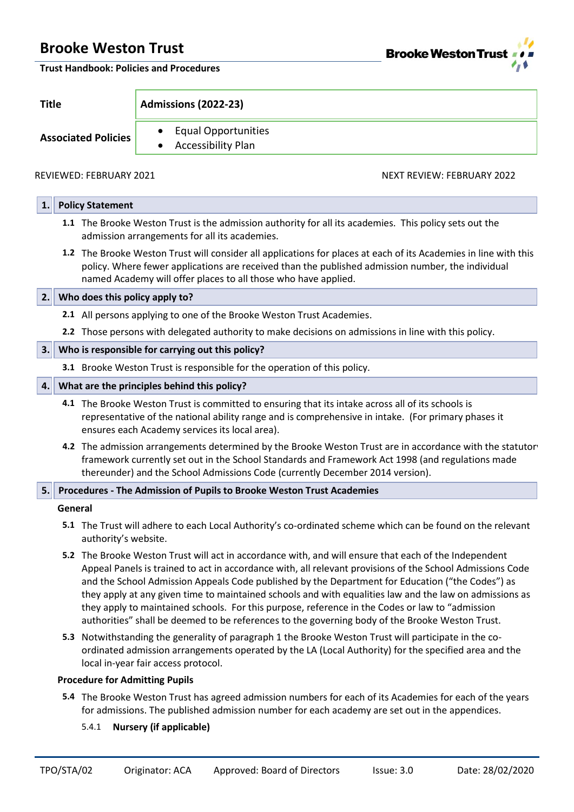

**Trust Handbook: Policies and Procedures**

**Title Admissions (2022-23)**

**Associated Policies** • Equal Opportunities • Accessibility Plan

REVIEWED: FEBRUARY 2021 NEXT REVIEW: FEBRUARY 2022

| 1. | <b>Policy Statement</b>                                               |                                                                                                                                                                                                                                                                                                                                                                                                                                                                                                                                                                                                                                         |  |  |
|----|-----------------------------------------------------------------------|-----------------------------------------------------------------------------------------------------------------------------------------------------------------------------------------------------------------------------------------------------------------------------------------------------------------------------------------------------------------------------------------------------------------------------------------------------------------------------------------------------------------------------------------------------------------------------------------------------------------------------------------|--|--|
|    |                                                                       | 1.1 The Brooke Weston Trust is the admission authority for all its academies. This policy sets out the<br>admission arrangements for all its academies.                                                                                                                                                                                                                                                                                                                                                                                                                                                                                 |  |  |
|    |                                                                       | 1.2 The Brooke Weston Trust will consider all applications for places at each of its Academies in line with this<br>policy. Where fewer applications are received than the published admission number, the individual<br>named Academy will offer places to all those who have applied.                                                                                                                                                                                                                                                                                                                                                 |  |  |
| 2. |                                                                       | Who does this policy apply to?                                                                                                                                                                                                                                                                                                                                                                                                                                                                                                                                                                                                          |  |  |
|    |                                                                       | 2.1 All persons applying to one of the Brooke Weston Trust Academies.                                                                                                                                                                                                                                                                                                                                                                                                                                                                                                                                                                   |  |  |
|    |                                                                       | 2.2 Those persons with delegated authority to make decisions on admissions in line with this policy.                                                                                                                                                                                                                                                                                                                                                                                                                                                                                                                                    |  |  |
| 3. |                                                                       | Who is responsible for carrying out this policy?                                                                                                                                                                                                                                                                                                                                                                                                                                                                                                                                                                                        |  |  |
|    |                                                                       | 3.1 Brooke Weston Trust is responsible for the operation of this policy.                                                                                                                                                                                                                                                                                                                                                                                                                                                                                                                                                                |  |  |
| 4. |                                                                       | What are the principles behind this policy?                                                                                                                                                                                                                                                                                                                                                                                                                                                                                                                                                                                             |  |  |
|    |                                                                       | 4.1 The Brooke Weston Trust is committed to ensuring that its intake across all of its schools is<br>representative of the national ability range and is comprehensive in intake. (For primary phases it<br>ensures each Academy services its local area).                                                                                                                                                                                                                                                                                                                                                                              |  |  |
|    |                                                                       | 4.2 The admission arrangements determined by the Brooke Weston Trust are in accordance with the statutor<br>framework currently set out in the School Standards and Framework Act 1998 (and regulations made<br>thereunder) and the School Admissions Code (currently December 2014 version).                                                                                                                                                                                                                                                                                                                                           |  |  |
| 5. | Procedures - The Admission of Pupils to Brooke Weston Trust Academies |                                                                                                                                                                                                                                                                                                                                                                                                                                                                                                                                                                                                                                         |  |  |
|    | General                                                               |                                                                                                                                                                                                                                                                                                                                                                                                                                                                                                                                                                                                                                         |  |  |
|    |                                                                       | 5.1 The Trust will adhere to each Local Authority's co-ordinated scheme which can be found on the relevant<br>authority's website.                                                                                                                                                                                                                                                                                                                                                                                                                                                                                                      |  |  |
|    |                                                                       | 5.2 The Brooke Weston Trust will act in accordance with, and will ensure that each of the Independent<br>Appeal Panels is trained to act in accordance with, all relevant provisions of the School Admissions Code<br>and the School Admission Appeals Code published by the Department for Education ("the Codes") as<br>they apply at any given time to maintained schools and with equalities law and the law on admissions as<br>they apply to maintained schools. For this purpose, reference in the Codes or law to "admission<br>authorities" shall be deemed to be references to the governing body of the Brooke Weston Trust. |  |  |

**5.3** Notwithstanding the generality of paragraph 1 the Brooke Weston Trust will participate in the coordinated admission arrangements operated by the LA (Local Authority) for the specified area and the local in-year fair access protocol.

### **Procedure for Admitting Pupils**

- **5.4** The Brooke Weston Trust has agreed admission numbers for each of its Academies for each of the years for admissions. The published admission number for each academy are set out in the appendices.
	- 5.4.1 **Nursery (if applicable)**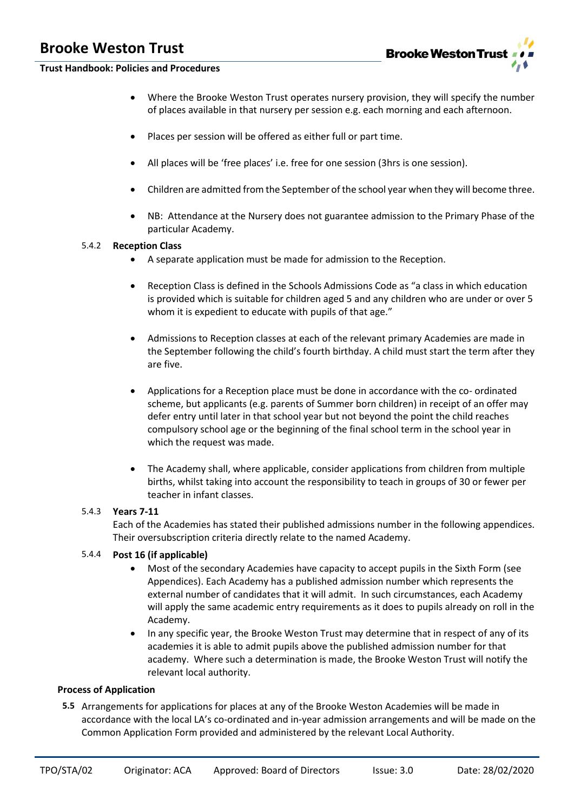

### **Trust Handbook: Policies and Procedures**

- Where the Brooke Weston Trust operates nursery provision, they will specify the number of places available in that nursery per session e.g. each morning and each afternoon.
- Places per session will be offered as either full or part time.
- All places will be 'free places' i.e. free for one session (3hrs is one session).
- Children are admitted from the September of the school year when they will become three.
- NB: Attendance at the Nursery does not guarantee admission to the Primary Phase of the particular Academy.

### 5.4.2 **Reception Class**

- A separate application must be made for admission to the Reception.
- Reception Class is defined in the Schools Admissions Code as "a class in which education is provided which is suitable for children aged 5 and any children who are under or over 5 whom it is expedient to educate with pupils of that age."
- Admissions to Reception classes at each of the relevant primary Academies are made in the September following the child's fourth birthday. A child must start the term after they are five.
- Applications for a Reception place must be done in accordance with the co- ordinated scheme, but applicants (e.g. parents of Summer born children) in receipt of an offer may defer entry until later in that school year but not beyond the point the child reaches compulsory school age or the beginning of the final school term in the school year in which the request was made.
- The Academy shall, where applicable, consider applications from children from multiple births, whilst taking into account the responsibility to teach in groups of 30 or fewer per teacher in infant classes.

### 5.4.3 **Years 7-11**

Each of the Academies has stated their published admissions number in the following appendices. Their oversubscription criteria directly relate to the named Academy.

### 5.4.4 **Post 16 (if applicable)**

- Most of the secondary Academies have capacity to accept pupils in the Sixth Form (see Appendices). Each Academy has a published admission number which represents the external number of candidates that it will admit. In such circumstances, each Academy will apply the same academic entry requirements as it does to pupils already on roll in the Academy.
- In any specific year, the Brooke Weston Trust may determine that in respect of any of its academies it is able to admit pupils above the published admission number for that academy. Where such a determination is made, the Brooke Weston Trust will notify the relevant local authority.

### **Process of Application**

**5.5** Arrangements for applications for places at any of the Brooke Weston Academies will be made in accordance with the local LA's co-ordinated and in-year admission arrangements and will be made on the Common Application Form provided and administered by the relevant Local Authority.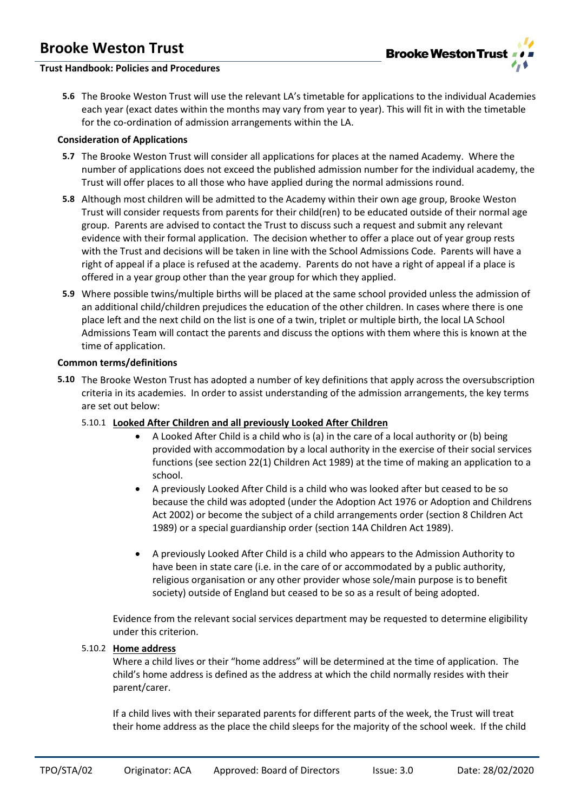

### **Trust Handbook: Policies and Procedures**

**5.6** The Brooke Weston Trust will use the relevant LA's timetable for applications to the individual Academies each year (exact dates within the months may vary from year to year). This will fit in with the timetable for the co-ordination of admission arrangements within the LA.

### **Consideration of Applications**

- **5.7** The Brooke Weston Trust will consider all applications for places at the named Academy. Where the number of applications does not exceed the published admission number for the individual academy, the Trust will offer places to all those who have applied during the normal admissions round.
- **5.8** Although most children will be admitted to the Academy within their own age group, Brooke Weston Trust will consider requests from parents for their child(ren) to be educated outside of their normal age group. Parents are advised to contact the Trust to discuss such a request and submit any relevant evidence with their formal application. The decision whether to offer a place out of year group rests with the Trust and decisions will be taken in line with the School Admissions Code. Parents will have a right of appeal if a place is refused at the academy. Parents do not have a right of appeal if a place is offered in a year group other than the year group for which they applied.
- **5.9** Where possible twins/multiple births will be placed at the same school provided unless the admission of an additional child/children prejudices the education of the other children. In cases where there is one place left and the next child on the list is one of a twin, triplet or multiple birth, the local LA School Admissions Team will contact the parents and discuss the options with them where this is known at the time of application.

### **Common terms/definitions**

- **5.10** The Brooke Weston Trust has adopted a number of key definitions that apply across the oversubscription criteria in its academies. In order to assist understanding of the admission arrangements, the key terms are set out below:
	- 5.10.1 **Looked After Children and all previously Looked After Children**
		- A Looked After Child is a child who is (a) in the care of a local authority or (b) being provided with accommodation by a local authority in the exercise of their social services functions (see section 22(1) Children Act 1989) at the time of making an application to a school.
		- A previously Looked After Child is a child who was looked after but ceased to be so because the child was adopted (under the Adoption Act 1976 or Adoption and Childrens Act 2002) or become the subject of a child arrangements order (section 8 Children Act 1989) or a special guardianship order (section 14A Children Act 1989).
		- A previously Looked After Child is a child who appears to the Admission Authority to have been in state care (i.e. in the care of or accommodated by a public authority, religious organisation or any other provider whose sole/main purpose is to benefit society) outside of England but ceased to be so as a result of being adopted.

Evidence from the relevant social services department may be requested to determine eligibility under this criterion.

### 5.10.2 **Home address**

Where a child lives or their "home address" will be determined at the time of application. The child's home address is defined as the address at which the child normally resides with their parent/carer.

If a child lives with their separated parents for different parts of the week, the Trust will treat their home address as the place the child sleeps for the majority of the school week. If the child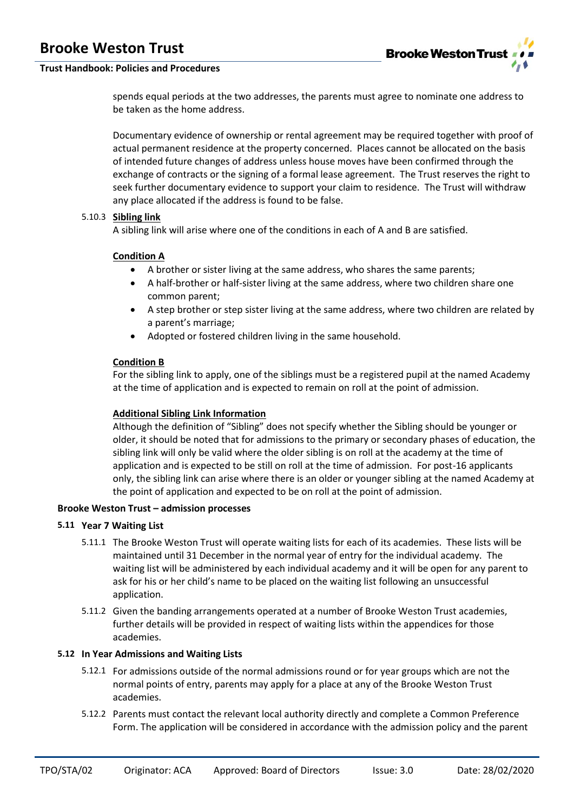

### **Trust Handbook: Policies and Procedures**

spends equal periods at the two addresses, the parents must agree to nominate one address to be taken as the home address.

Documentary evidence of ownership or rental agreement may be required together with proof of actual permanent residence at the property concerned. Places cannot be allocated on the basis of intended future changes of address unless house moves have been confirmed through the exchange of contracts or the signing of a formal lease agreement. The Trust reserves the right to seek further documentary evidence to support your claim to residence. The Trust will withdraw any place allocated if the address is found to be false.

### 5.10.3 **Sibling link**

A sibling link will arise where one of the conditions in each of A and B are satisfied.

### **Condition A**

- A brother or sister living at the same address, who shares the same parents;
- A half-brother or half-sister living at the same address, where two children share one common parent;
- A step brother or step sister living at the same address, where two children are related by a parent's marriage;
- Adopted or fostered children living in the same household.

#### **Condition B**

For the sibling link to apply, one of the siblings must be a registered pupil at the named Academy at the time of application and is expected to remain on roll at the point of admission.

### **Additional Sibling Link Information**

Although the definition of "Sibling" does not specify whether the Sibling should be younger or older, it should be noted that for admissions to the primary or secondary phases of education, the sibling link will only be valid where the older sibling is on roll at the academy at the time of application and is expected to be still on roll at the time of admission. For post-16 applicants only, the sibling link can arise where there is an older or younger sibling at the named Academy at the point of application and expected to be on roll at the point of admission.

### **Brooke Weston Trust – admission processes**

### **5.11 Year 7 Waiting List**

- 5.11.1 The Brooke Weston Trust will operate waiting lists for each of its academies. These lists will be maintained until 31 December in the normal year of entry for the individual academy. The waiting list will be administered by each individual academy and it will be open for any parent to ask for his or her child's name to be placed on the waiting list following an unsuccessful application.
- 5.11.2 Given the banding arrangements operated at a number of Brooke Weston Trust academies, further details will be provided in respect of waiting lists within the appendices for those academies.

#### **5.12 In Year Admissions and Waiting Lists**

- 5.12.1 For admissions outside of the normal admissions round or for year groups which are not the normal points of entry, parents may apply for a place at any of the Brooke Weston Trust academies.
- 5.12.2 Parents must contact the relevant local authority directly and complete a Common Preference Form. The application will be considered in accordance with the admission policy and the parent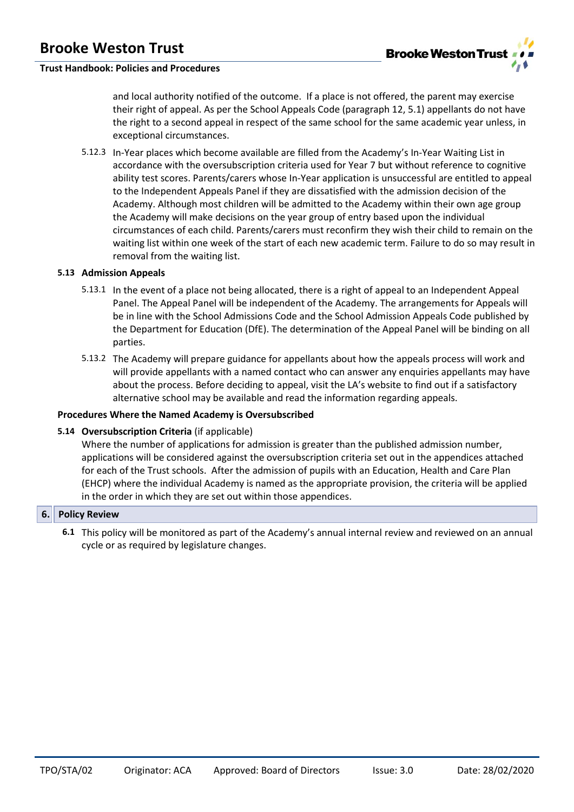### **Trust Handbook: Policies and Procedures**

and local authority notified of the outcome. If a place is not offered, the parent may exercise their right of appeal. As per the School Appeals Code (paragraph 12, 5.1) appellants do not have the right to a second appeal in respect of the same school for the same academic year unless, in exceptional circumstances.

5.12.3 In-Year places which become available are filled from the Academy's In-Year Waiting List in accordance with the oversubscription criteria used for Year 7 but without reference to cognitive ability test scores. Parents/carers whose In-Year application is unsuccessful are entitled to appeal to the Independent Appeals Panel if they are dissatisfied with the admission decision of the Academy. Although most children will be admitted to the Academy within their own age group the Academy will make decisions on the year group of entry based upon the individual circumstances of each child. Parents/carers must reconfirm they wish their child to remain on the waiting list within one week of the start of each new academic term. Failure to do so may result in removal from the waiting list.

### **5.13 Admission Appeals**

- 5.13.1 In the event of a place not being allocated, there is a right of appeal to an Independent Appeal Panel. The Appeal Panel will be independent of the Academy. The arrangements for Appeals will be in line with the School Admissions Code and the School Admission Appeals Code published by the Department for Education (DfE). The determination of the Appeal Panel will be binding on all parties.
- 5.13.2 The Academy will prepare guidance for appellants about how the appeals process will work and will provide appellants with a named contact who can answer any enquiries appellants may have about the process. Before deciding to appeal, visit the LA's website to find out if a satisfactory alternative school may be available and read the information regarding appeals.

### **Procedures Where the Named Academy is Oversubscribed**

### **5.14 Oversubscription Criteria** (if applicable)

Where the number of applications for admission is greater than the published admission number, applications will be considered against the oversubscription criteria set out in the appendices attached for each of the Trust schools. After the admission of pupils with an Education, Health and Care Plan (EHCP) where the individual Academy is named as the appropriate provision, the criteria will be applied in the order in which they are set out within those appendices.

### **6. Policy Review**

**6.1** This policy will be monitored as part of the Academy's annual internal review and reviewed on an annual cycle or as required by legislature changes.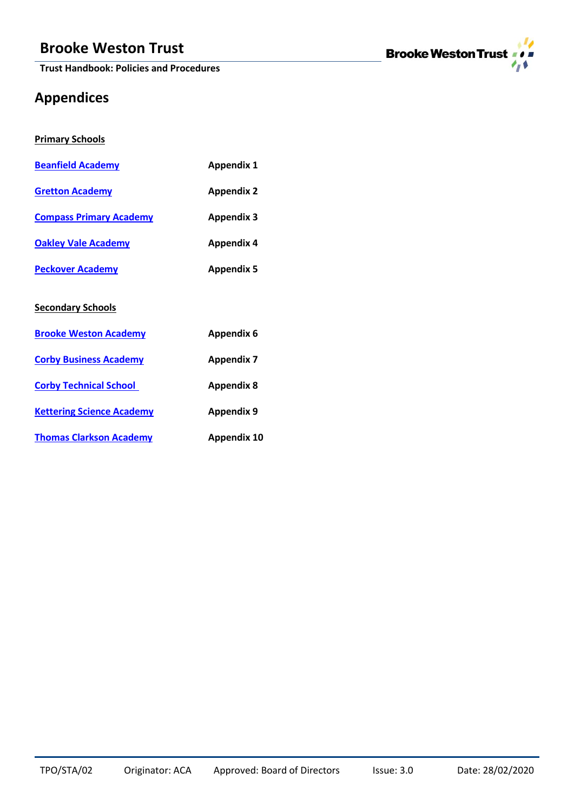**Trust Handbook: Policies and Procedures**



# **Appendices**

|  |  | <b>Primary Schools</b> |
|--|--|------------------------|
|--|--|------------------------|

| <b>Beanfield Academy</b>         | <b>Appendix 1</b>  |
|----------------------------------|--------------------|
| <b>Gretton Academy</b>           | <b>Appendix 2</b>  |
| <b>Compass Primary Academy</b>   | <b>Appendix 3</b>  |
| <b>Oakley Vale Academy</b>       | <b>Appendix 4</b>  |
| <b>Peckover Academy</b>          | <b>Appendix 5</b>  |
| <b>Secondary Schools</b>         |                    |
| <b>Brooke Weston Academy</b>     | <b>Appendix 6</b>  |
| <b>Corby Business Academy</b>    | <b>Appendix 7</b>  |
| <b>Corby Technical School</b>    | <b>Appendix 8</b>  |
| <b>Kettering Science Academy</b> | <b>Appendix 9</b>  |
| <b>Thomas Clarkson Academy</b>   | <b>Appendix 10</b> |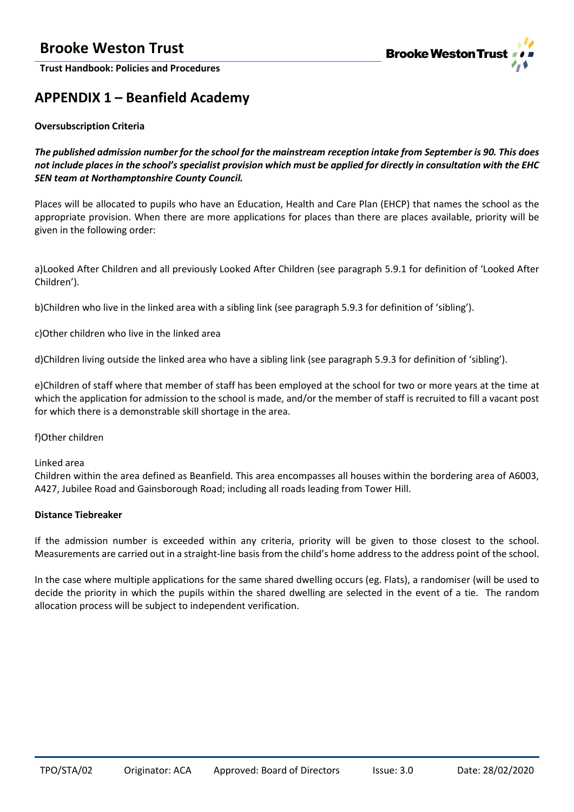

<span id="page-6-0"></span>**Trust Handbook: Policies and Procedures**

### **APPENDIX 1 – Beanfield Academy**

### **Oversubscription Criteria**

*The published admission number for the school for the mainstream reception intake from September is 90. This does not include places in the school's specialist provision which must be applied for directly in consultation with the EHC SEN team at Northamptonshire County Council.*

Places will be allocated to pupils who have an Education, Health and Care Plan (EHCP) that names the school as the appropriate provision. When there are more applications for places than there are places available, priority will be given in the following order:

a)Looked After Children and all previously Looked After Children (see paragraph 5.9.1 for definition of 'Looked After Children').

b)Children who live in the linked area with a sibling link (see paragraph 5.9.3 for definition of 'sibling').

c)Other children who live in the linked area

d)Children living outside the linked area who have a sibling link (see paragraph 5.9.3 for definition of 'sibling').

e)Children of staff where that member of staff has been employed at the school for two or more years at the time at which the application for admission to the school is made, and/or the member of staff is recruited to fill a vacant post for which there is a demonstrable skill shortage in the area.

f)Other children

Linked area

Children within the area defined as Beanfield. This area encompasses all houses within the bordering area of A6003, A427, Jubilee Road and Gainsborough Road; including all roads leading from Tower Hill.

### **Distance Tiebreaker**

If the admission number is exceeded within any criteria, priority will be given to those closest to the school. Measurements are carried out in a straight-line basis from the child's home address to the address point of the school.

In the case where multiple applications for the same shared dwelling occurs (eg. Flats), a randomiser (will be used to decide the priority in which the pupils within the shared dwelling are selected in the event of a tie. The random allocation process will be subject to independent verification.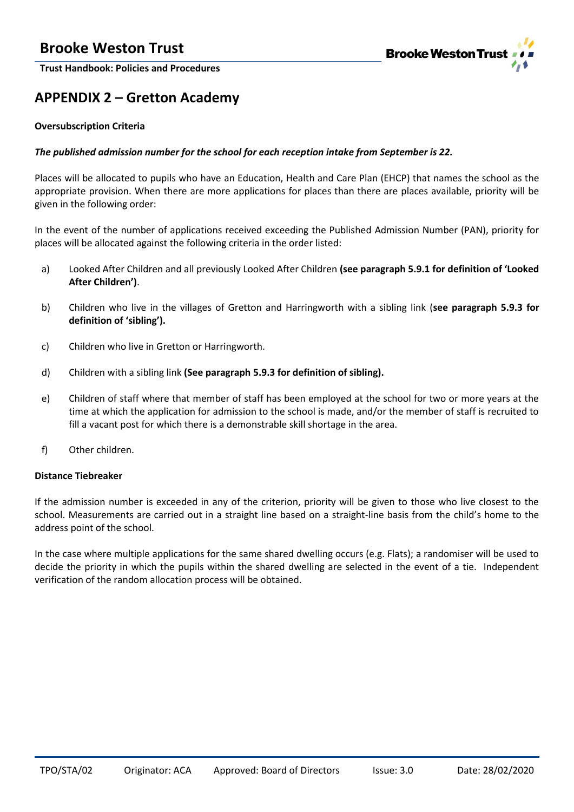

<span id="page-7-0"></span>**Trust Handbook: Policies and Procedures**

### **APPENDIX 2 – Gretton Academy**

#### **Oversubscription Criteria**

### *The published admission number for the school for each reception intake from September is 22.*

Places will be allocated to pupils who have an Education, Health and Care Plan (EHCP) that names the school as the appropriate provision. When there are more applications for places than there are places available, priority will be given in the following order:

In the event of the number of applications received exceeding the Published Admission Number (PAN), priority for places will be allocated against the following criteria in the order listed:

- a) Looked After Children and all previously Looked After Children **(see paragraph 5.9.1 for definition of 'Looked After Children')**.
- b) Children who live in the villages of Gretton and Harringworth with a sibling link (**see paragraph 5.9.3 for definition of 'sibling').**
- c) Children who live in Gretton or Harringworth.
- d) Children with a sibling link **(See paragraph 5.9.3 for definition of sibling).**
- e) Children of staff where that member of staff has been employed at the school for two or more years at the time at which the application for admission to the school is made, and/or the member of staff is recruited to fill a vacant post for which there is a demonstrable skill shortage in the area.
- f) Other children.

#### **Distance Tiebreaker**

If the admission number is exceeded in any of the criterion, priority will be given to those who live closest to the school. Measurements are carried out in a straight line based on a straight-line basis from the child's home to the address point of the school.

In the case where multiple applications for the same shared dwelling occurs (e.g. Flats); a randomiser will be used to decide the priority in which the pupils within the shared dwelling are selected in the event of a tie. Independent verification of the random allocation process will be obtained.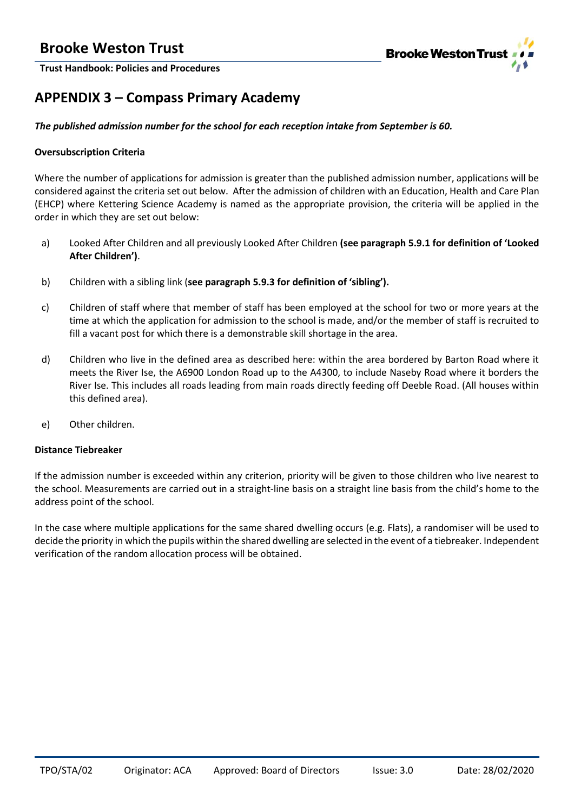

<span id="page-8-0"></span>**Trust Handbook: Policies and Procedures**

### **APPENDIX 3 – Compass Primary Academy**

### *The published admission number for the school for each reception intake from September is 60.*

### **Oversubscription Criteria**

Where the number of applications for admission is greater than the published admission number, applications will be considered against the criteria set out below. After the admission of children with an Education, Health and Care Plan (EHCP) where Kettering Science Academy is named as the appropriate provision, the criteria will be applied in the order in which they are set out below:

- a) Looked After Children and all previously Looked After Children **(see paragraph 5.9.1 for definition of 'Looked After Children')**.
- b) Children with a sibling link (**see paragraph 5.9.3 for definition of 'sibling').**
- c) Children of staff where that member of staff has been employed at the school for two or more years at the time at which the application for admission to the school is made, and/or the member of staff is recruited to fill a vacant post for which there is a demonstrable skill shortage in the area.
- d) Children who live in the defined area as described here: within the area bordered by Barton Road where it meets the River Ise, the A6900 London Road up to the A4300, to include Naseby Road where it borders the River Ise. This includes all roads leading from main roads directly feeding off Deeble Road. (All houses within this defined area).
- e) Other children.

### **Distance Tiebreaker**

If the admission number is exceeded within any criterion, priority will be given to those children who live nearest to the school. Measurements are carried out in a straight-line basis on a straight line basis from the child's home to the address point of the school.

In the case where multiple applications for the same shared dwelling occurs (e.g. Flats), a randomiser will be used to decide the priority in which the pupils within the shared dwelling are selected in the event of a tiebreaker. Independent verification of the random allocation process will be obtained.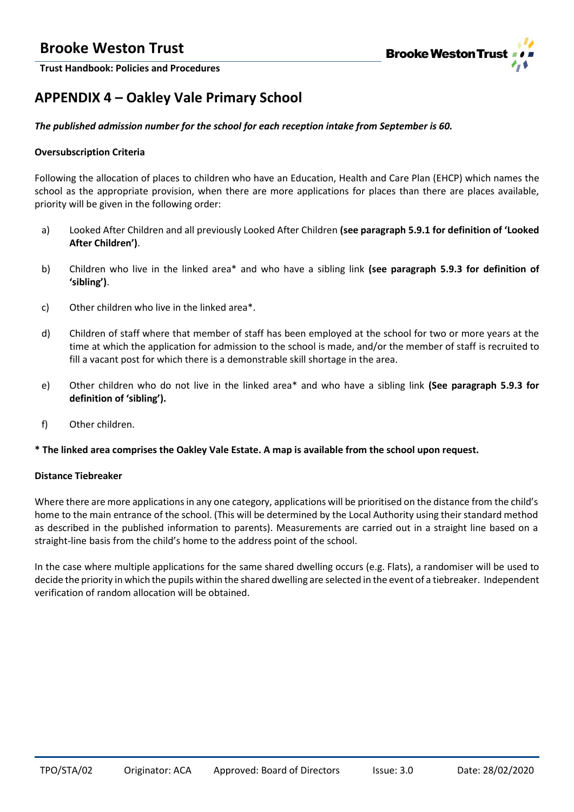

<span id="page-9-0"></span>**Trust Handbook: Policies and Procedures**

### **APPENDIX 4 – Oakley Vale Primary School**

#### *The published admission number for the school for each reception intake from September is 60.*

#### **Oversubscription Criteria**

Following the allocation of places to children who have an Education, Health and Care Plan (EHCP) which names the school as the appropriate provision, when there are more applications for places than there are places available, priority will be given in the following order:

- a) Looked After Children and all previously Looked After Children **(see paragraph 5.9.1 for definition of 'Looked After Children')**.
- b) Children who live in the linked area\* and who have a sibling link **(see paragraph 5.9.3 for definition of 'sibling')**.
- c) Other children who live in the linked area\*.
- d) Children of staff where that member of staff has been employed at the school for two or more years at the time at which the application for admission to the school is made, and/or the member of staff is recruited to fill a vacant post for which there is a demonstrable skill shortage in the area.
- e) Other children who do not live in the linked area\* and who have a sibling link **(See paragraph 5.9.3 for definition of 'sibling').**
- f) Other children.

### **\* The linked area comprises the Oakley Vale Estate. A map is available from the school upon request.**

#### **Distance Tiebreaker**

Where there are more applications in any one category, applications will be prioritised on the distance from the child's home to the main entrance of the school. (This will be determined by the Local Authority using their standard method as described in the published information to parents). Measurements are carried out in a straight line based on a straight-line basis from the child's home to the address point of the school.

In the case where multiple applications for the same shared dwelling occurs (e.g. Flats), a randomiser will be used to decide the priority in which the pupils within the shared dwelling are selected in the event of a tiebreaker. Independent verification of random allocation will be obtained.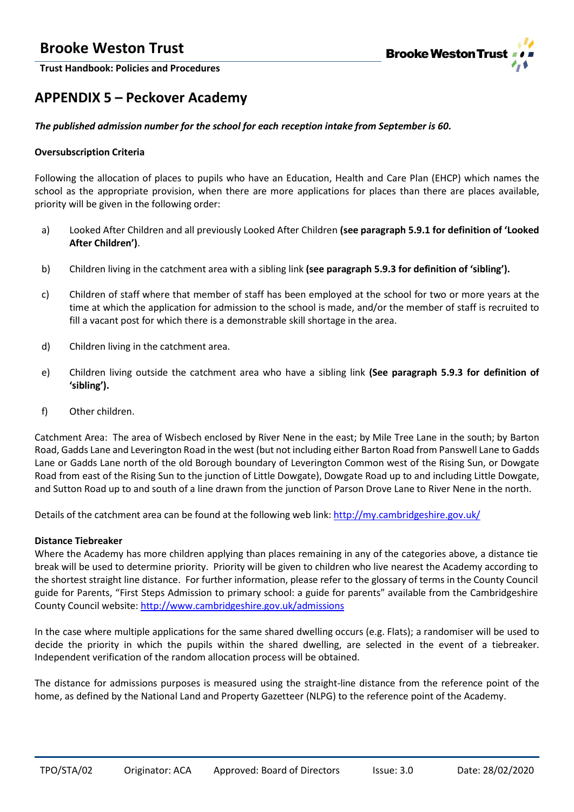

<span id="page-10-0"></span>**Trust Handbook: Policies and Procedures**

### **APPENDIX 5 – Peckover Academy**

### *The published admission number for the school for each reception intake from September is 60.*

#### **Oversubscription Criteria**

Following the allocation of places to pupils who have an Education, Health and Care Plan (EHCP) which names the school as the appropriate provision, when there are more applications for places than there are places available, priority will be given in the following order:

- a) Looked After Children and all previously Looked After Children **(see paragraph 5.9.1 for definition of 'Looked After Children')**.
- b) Children living in the catchment area with a sibling link **(see paragraph 5.9.3 for definition of 'sibling').**
- c) Children of staff where that member of staff has been employed at the school for two or more years at the time at which the application for admission to the school is made, and/or the member of staff is recruited to fill a vacant post for which there is a demonstrable skill shortage in the area.
- d) Children living in the catchment area.
- e) Children living outside the catchment area who have a sibling link **(See paragraph 5.9.3 for definition of 'sibling').**
- f) Other children.

Catchment Area: The area of Wisbech enclosed by River Nene in the east; by Mile Tree Lane in the south; by Barton Road, Gadds Lane and Leverington Road in the west (but not including either Barton Road from Panswell Lane to Gadds Lane or Gadds Lane north of the old Borough boundary of Leverington Common west of the Rising Sun, or Dowgate Road from east of the Rising Sun to the junction of Little Dowgate), Dowgate Road up to and including Little Dowgate, and Sutton Road up to and south of a line drawn from the junction of Parson Drove Lane to River Nene in the north.

Details of the catchment area can be found at the following web link:<http://my.cambridgeshire.gov.uk/>

#### **Distance Tiebreaker**

Where the Academy has more children applying than places remaining in any of the categories above, a distance tie break will be used to determine priority. Priority will be given to children who live nearest the Academy according to the shortest straight line distance. For further information, please refer to the glossary of terms in the County Council guide for Parents, "First Steps Admission to primary school: a guide for parents" available from the Cambridgeshire County Council website:<http://www.cambridgeshire.gov.uk/admissions>

In the case where multiple applications for the same shared dwelling occurs (e.g. Flats); a randomiser will be used to decide the priority in which the pupils within the shared dwelling, are selected in the event of a tiebreaker. Independent verification of the random allocation process will be obtained.

The distance for admissions purposes is measured using the straight-line distance from the reference point of the home, as defined by the National Land and Property Gazetteer (NLPG) to the reference point of the Academy.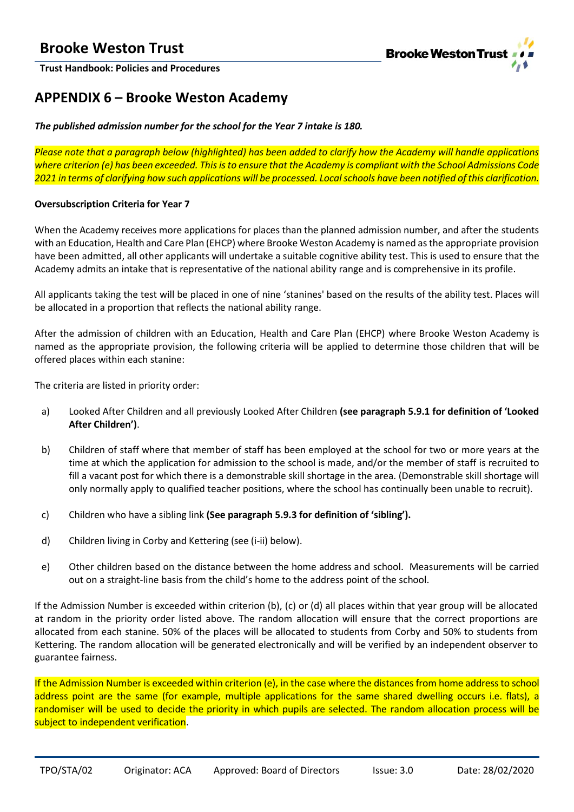

<span id="page-11-0"></span>**Trust Handbook: Policies and Procedures**

### **APPENDIX 6 – Brooke Weston Academy**

### *The published admission number for the school for the Year 7 intake is 180.*

*Please note that a paragraph below (highlighted) has been added to clarify how the Academy will handle applications where criterion (e) has been exceeded. This is to ensure that the Academy is compliant with the School Admissions Code 2021 in terms of clarifying how such applications will be processed. Local schools have been notified of this clarification.*

#### **Oversubscription Criteria for Year 7**

When the Academy receives more applications for places than the planned admission number, and after the students with an Education, Health and Care Plan (EHCP) where Brooke Weston Academy is named as the appropriate provision have been admitted, all other applicants will undertake a suitable cognitive ability test. This is used to ensure that the Academy admits an intake that is representative of the national ability range and is comprehensive in its profile.

All applicants taking the test will be placed in one of nine 'stanines' based on the results of the ability test. Places will be allocated in a proportion that reflects the national ability range.

After the admission of children with an Education, Health and Care Plan (EHCP) where Brooke Weston Academy is named as the appropriate provision, the following criteria will be applied to determine those children that will be offered places within each stanine:

The criteria are listed in priority order:

- a) Looked After Children and all previously Looked After Children **(see paragraph 5.9.1 for definition of 'Looked After Children')**.
- b) Children of staff where that member of staff has been employed at the school for two or more years at the time at which the application for admission to the school is made, and/or the member of staff is recruited to fill a vacant post for which there is a demonstrable skill shortage in the area. (Demonstrable skill shortage will only normally apply to qualified teacher positions, where the school has continually been unable to recruit).
- c) Children who have a sibling link **(See paragraph 5.9.3 for definition of 'sibling').**
- d) Children living in Corby and Kettering (see (i-ii) below).
- e) Other children based on the distance between the home address and school. Measurements will be carried out on a straight-line basis from the child's home to the address point of the school.

If the Admission Number is exceeded within criterion (b), (c) or (d) all places within that year group will be allocated at random in the priority order listed above. The random allocation will ensure that the correct proportions are allocated from each stanine. 50% of the places will be allocated to students from Corby and 50% to students from Kettering. The random allocation will be generated electronically and will be verified by an independent observer to guarantee fairness.

If the Admission Number is exceeded within criterion (e), in the case where the distances from home address to school address point are the same (for example, multiple applications for the same shared dwelling occurs i.e. flats), a randomiser will be used to decide the priority in which pupils are selected. The random allocation process will be subject to independent verification.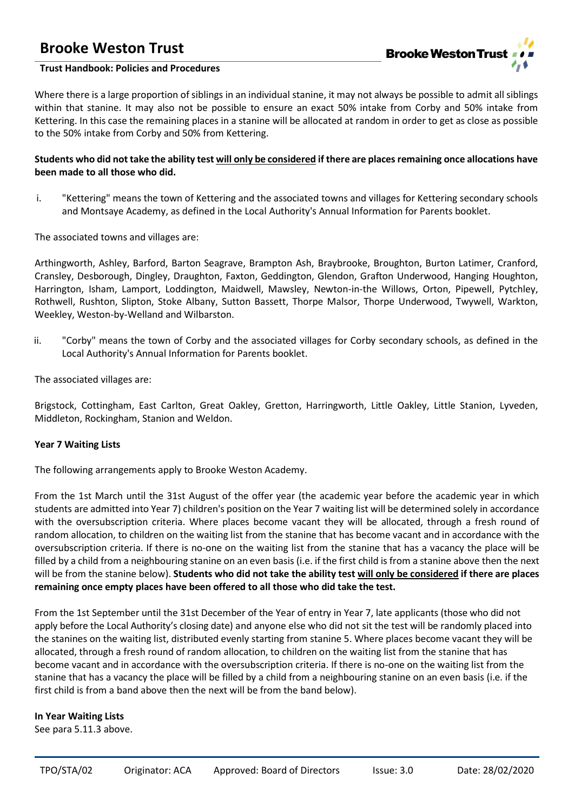

#### **Trust Handbook: Policies and Procedures**

Where there is a large proportion of siblings in an individual stanine, it may not always be possible to admit all siblings within that stanine. It may also not be possible to ensure an exact 50% intake from Corby and 50% intake from Kettering. In this case the remaining places in a stanine will be allocated at random in order to get as close as possible to the 50% intake from Corby and 50% from Kettering.

### Students who did not take the ability test will only be considered if there are places remaining once allocations have **been made to all those who did.**

i. "Kettering" means the town of Kettering and the associated towns and villages for Kettering secondary schools and Montsaye Academy, as defined in the Local Authority's Annual Information for Parents booklet.

The associated towns and villages are:

Arthingworth, Ashley, Barford, Barton Seagrave, Brampton Ash, Braybrooke, Broughton, Burton Latimer, Cranford, Cransley, Desborough, Dingley, Draughton, Faxton, Geddington, Glendon, Grafton Underwood, Hanging Houghton, Harrington, Isham, Lamport, Loddington, Maidwell, Mawsley, Newton-in-the Willows, Orton, Pipewell, Pytchley, Rothwell, Rushton, Slipton, Stoke Albany, Sutton Bassett, Thorpe Malsor, Thorpe Underwood, Twywell, Warkton, Weekley, Weston-by-Welland and Wilbarston.

ii. "Corby" means the town of Corby and the associated villages for Corby secondary schools, as defined in the Local Authority's Annual Information for Parents booklet.

The associated villages are:

Brigstock, Cottingham, East Carlton, Great Oakley, Gretton, Harringworth, Little Oakley, Little Stanion, Lyveden, Middleton, Rockingham, Stanion and Weldon.

#### **Year 7 Waiting Lists**

The following arrangements apply to Brooke Weston Academy.

From the 1st March until the 31st August of the offer year (the academic year before the academic year in which students are admitted into Year 7) children's position on the Year 7 waiting list will be determined solely in accordance with the oversubscription criteria. Where places become vacant they will be allocated, through a fresh round of random allocation, to children on the waiting list from the stanine that has become vacant and in accordance with the oversubscription criteria. If there is no-one on the waiting list from the stanine that has a vacancy the place will be filled by a child from a neighbouring stanine on an even basis (i.e. if the first child is from a stanine above then the next will be from the stanine below). **Students who did not take the ability test will only be considered if there are places remaining once empty places have been offered to all those who did take the test.**

From the 1st September until the 31st December of the Year of entry in Year 7, late applicants (those who did not apply before the Local Authority's closing date) and anyone else who did not sit the test will be randomly placed into the stanines on the waiting list, distributed evenly starting from stanine 5. Where places become vacant they will be allocated, through a fresh round of random allocation, to children on the waiting list from the stanine that has become vacant and in accordance with the oversubscription criteria. If there is no-one on the waiting list from the stanine that has a vacancy the place will be filled by a child from a neighbouring stanine on an even basis (i.e. if the first child is from a band above then the next will be from the band below).

### **In Year Waiting Lists**

See para 5.11.3 above.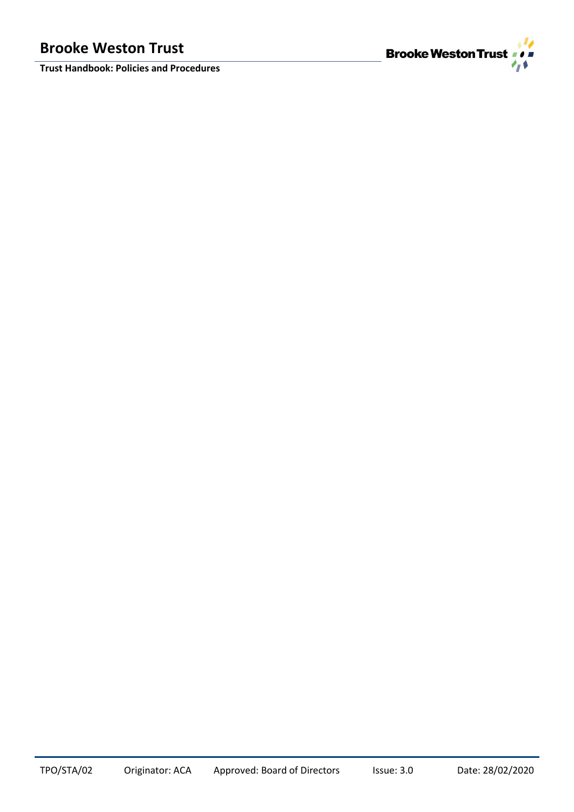**Trust Handbook: Policies and Procedures**

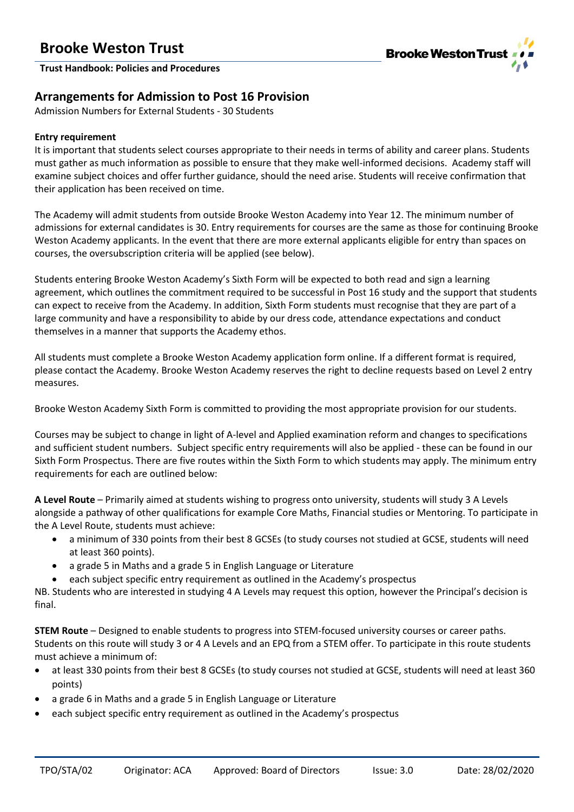

**Trust Handbook: Policies and Procedures**

### **Arrangements for Admission to Post 16 Provision**

Admission Numbers for External Students - 30 Students

### **Entry requirement**

It is important that students select courses appropriate to their needs in terms of ability and career plans. Students must gather as much information as possible to ensure that they make well-informed decisions. Academy staff will examine subject choices and offer further guidance, should the need arise. Students will receive confirmation that their application has been received on time.

The Academy will admit students from outside Brooke Weston Academy into Year 12. The minimum number of admissions for external candidates is 30. Entry requirements for courses are the same as those for continuing Brooke Weston Academy applicants. In the event that there are more external applicants eligible for entry than spaces on courses, the oversubscription criteria will be applied (see below).

Students entering Brooke Weston Academy's Sixth Form will be expected to both read and sign a learning agreement, which outlines the commitment required to be successful in Post 16 study and the support that students can expect to receive from the Academy. In addition, Sixth Form students must recognise that they are part of a large community and have a responsibility to abide by our dress code, attendance expectations and conduct themselves in a manner that supports the Academy ethos.

All students must complete a Brooke Weston Academy application form online. If a different format is required, please contact the Academy. Brooke Weston Academy reserves the right to decline requests based on Level 2 entry measures.

Brooke Weston Academy Sixth Form is committed to providing the most appropriate provision for our students.

Courses may be subject to change in light of A-level and Applied examination reform and changes to specifications and sufficient student numbers. Subject specific entry requirements will also be applied - these can be found in our Sixth Form Prospectus. There are five routes within the Sixth Form to which students may apply. The minimum entry requirements for each are outlined below:

**A Level Route** – Primarily aimed at students wishing to progress onto university, students will study 3 A Levels alongside a pathway of other qualifications for example Core Maths, Financial studies or Mentoring. To participate in the A Level Route, students must achieve:

- a minimum of 330 points from their best 8 GCSEs (to study courses not studied at GCSE, students will need at least 360 points).
- a grade 5 in Maths and a grade 5 in English Language or Literature
- each subject specific entry requirement as outlined in the Academy's prospectus

NB. Students who are interested in studying 4 A Levels may request this option, however the Principal's decision is final.

**STEM Route** – Designed to enable students to progress into STEM-focused university courses or career paths. Students on this route will study 3 or 4 A Levels and an EPQ from a STEM offer. To participate in this route students must achieve a minimum of:

- at least 330 points from their best 8 GCSEs (to study courses not studied at GCSE, students will need at least 360 points)
- a grade 6 in Maths and a grade 5 in English Language or Literature
- each subject specific entry requirement as outlined in the Academy's prospectus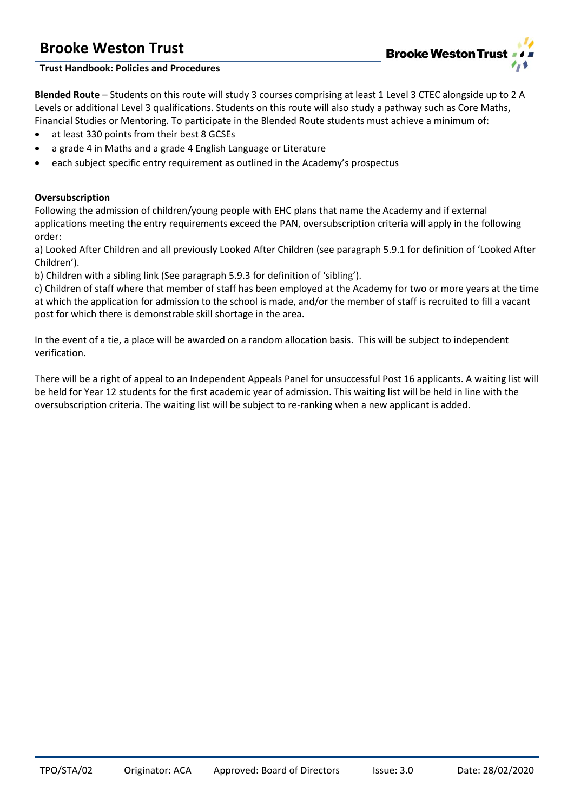

### **Trust Handbook: Policies and Procedures**

**Blended Route** – Students on this route will study 3 courses comprising at least 1 Level 3 CTEC alongside up to 2 A Levels or additional Level 3 qualifications. Students on this route will also study a pathway such as Core Maths, Financial Studies or Mentoring. To participate in the Blended Route students must achieve a minimum of:

- at least 330 points from their best 8 GCSEs
- a grade 4 in Maths and a grade 4 English Language or Literature
- each subject specific entry requirement as outlined in the Academy's prospectus

### **Oversubscription**

Following the admission of children/young people with EHC plans that name the Academy and if external applications meeting the entry requirements exceed the PAN, oversubscription criteria will apply in the following order:

a) Looked After Children and all previously Looked After Children (see paragraph 5.9.1 for definition of 'Looked After Children').

b) Children with a sibling link (See paragraph 5.9.3 for definition of 'sibling').

c) Children of staff where that member of staff has been employed at the Academy for two or more years at the time at which the application for admission to the school is made, and/or the member of staff is recruited to fill a vacant post for which there is demonstrable skill shortage in the area.

In the event of a tie, a place will be awarded on a random allocation basis. This will be subject to independent verification.

There will be a right of appeal to an Independent Appeals Panel for unsuccessful Post 16 applicants. A waiting list will be held for Year 12 students for the first academic year of admission. This waiting list will be held in line with the oversubscription criteria. The waiting list will be subject to re-ranking when a new applicant is added.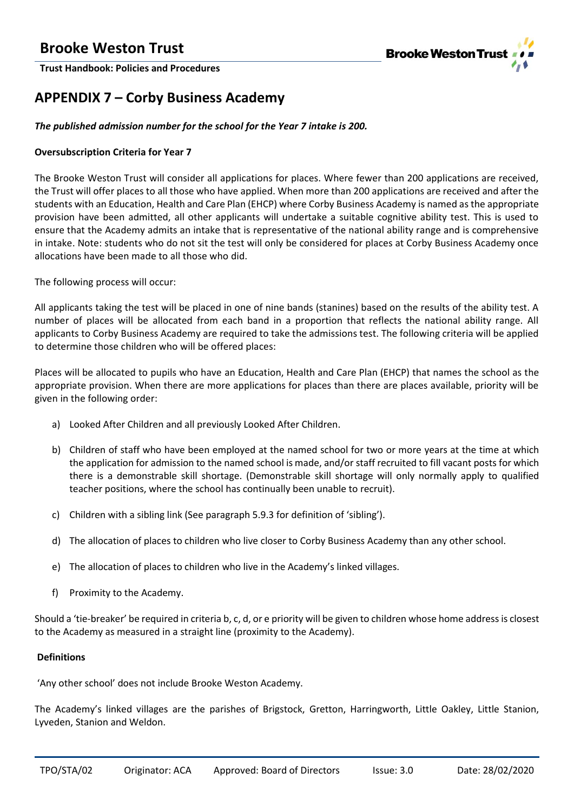

<span id="page-16-0"></span>**Trust Handbook: Policies and Procedures**

### **APPENDIX 7 – Corby Business Academy**

### *The published admission number for the school for the Year 7 intake is 200.*

### **Oversubscription Criteria for Year 7**

The Brooke Weston Trust will consider all applications for places. Where fewer than 200 applications are received, the Trust will offer places to all those who have applied. When more than 200 applications are received and after the students with an Education, Health and Care Plan (EHCP) where Corby Business Academy is named as the appropriate provision have been admitted, all other applicants will undertake a suitable cognitive ability test. This is used to ensure that the Academy admits an intake that is representative of the national ability range and is comprehensive in intake. Note: students who do not sit the test will only be considered for places at Corby Business Academy once allocations have been made to all those who did.

The following process will occur:

All applicants taking the test will be placed in one of nine bands (stanines) based on the results of the ability test. A number of places will be allocated from each band in a proportion that reflects the national ability range. All applicants to Corby Business Academy are required to take the admissions test. The following criteria will be applied to determine those children who will be offered places:

Places will be allocated to pupils who have an Education, Health and Care Plan (EHCP) that names the school as the appropriate provision. When there are more applications for places than there are places available, priority will be given in the following order:

- a) Looked After Children and all previously Looked After Children.
- b) Children of staff who have been employed at the named school for two or more years at the time at which the application for admission to the named school is made, and/or staff recruited to fill vacant posts for which there is a demonstrable skill shortage. (Demonstrable skill shortage will only normally apply to qualified teacher positions, where the school has continually been unable to recruit).
- c) Children with a sibling link (See paragraph 5.9.3 for definition of 'sibling').
- d) The allocation of places to children who live closer to Corby Business Academy than any other school.
- e) The allocation of places to children who live in the Academy's linked villages.
- f) Proximity to the Academy.

Should a 'tie-breaker' be required in criteria b, c, d, or e priority will be given to children whose home address is closest to the Academy as measured in a straight line (proximity to the Academy).

### **Definitions**

'Any other school' does not include Brooke Weston Academy.

The Academy's linked villages are the parishes of Brigstock, Gretton, Harringworth, Little Oakley, Little Stanion, Lyveden, Stanion and Weldon.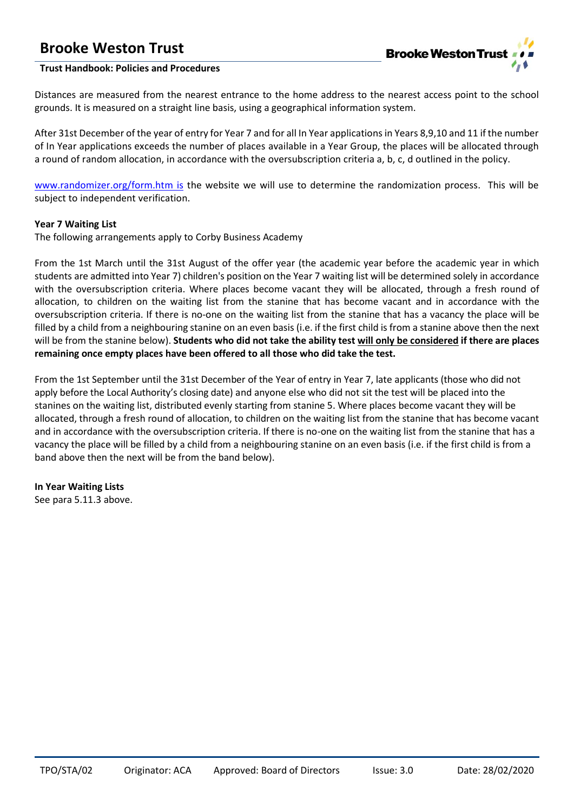

### **Trust Handbook: Policies and Procedures**

Distances are measured from the nearest entrance to the home address to the nearest access point to the school grounds. It is measured on a straight line basis, using a geographical information system.

After 31st December of the year of entry for Year 7 and for all In Year applications in Years 8,9,10 and 11 if the number of In Year applications exceeds the number of places available in a Year Group, the places will be allocated through a round of random allocation, in accordance with the oversubscription criteria a, b, c, d outlined in the policy.

[www.randomizer.org/form.htm is](http://www.randomizer.org/form.htm) the website we will use to determine the randomization process. This will be subject to independent verification.

#### **Year 7 Waiting List**

The following arrangements apply to Corby Business Academy

From the 1st March until the 31st August of the offer year (the academic year before the academic year in which students are admitted into Year 7) children's position on the Year 7 waiting list will be determined solely in accordance with the oversubscription criteria. Where places become vacant they will be allocated, through a fresh round of allocation, to children on the waiting list from the stanine that has become vacant and in accordance with the oversubscription criteria. If there is no-one on the waiting list from the stanine that has a vacancy the place will be filled by a child from a neighbouring stanine on an even basis (i.e. if the first child is from a stanine above then the next will be from the stanine below). **Students who did not take the ability test will only be considered if there are places remaining once empty places have been offered to all those who did take the test.**

From the 1st September until the 31st December of the Year of entry in Year 7, late applicants (those who did not apply before the Local Authority's closing date) and anyone else who did not sit the test will be placed into the stanines on the waiting list, distributed evenly starting from stanine 5. Where places become vacant they will be allocated, through a fresh round of allocation, to children on the waiting list from the stanine that has become vacant and in accordance with the oversubscription criteria. If there is no-one on the waiting list from the stanine that has a vacancy the place will be filled by a child from a neighbouring stanine on an even basis (i.e. if the first child is from a band above then the next will be from the band below).

**In Year Waiting Lists**

See para 5.11.3 above.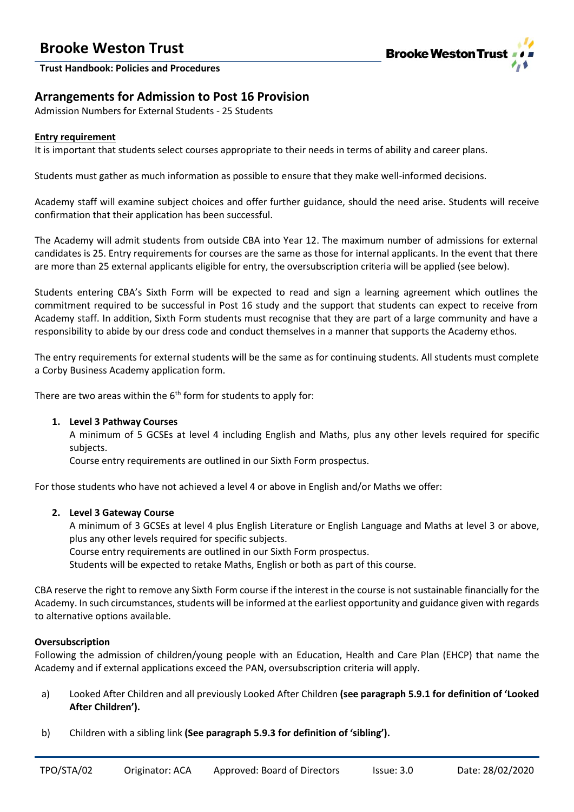

**Trust Handbook: Policies and Procedures**

### **Arrangements for Admission to Post 16 Provision**

Admission Numbers for External Students - 25 Students

### **Entry requirement**

It is important that students select courses appropriate to their needs in terms of ability and career plans.

Students must gather as much information as possible to ensure that they make well-informed decisions.

Academy staff will examine subject choices and offer further guidance, should the need arise. Students will receive confirmation that their application has been successful.

The Academy will admit students from outside CBA into Year 12. The maximum number of admissions for external candidates is 25. Entry requirements for courses are the same as those for internal applicants. In the event that there are more than 25 external applicants eligible for entry, the oversubscription criteria will be applied (see below).

Students entering CBA's Sixth Form will be expected to read and sign a learning agreement which outlines the commitment required to be successful in Post 16 study and the support that students can expect to receive from Academy staff. In addition, Sixth Form students must recognise that they are part of a large community and have a responsibility to abide by our dress code and conduct themselves in a manner that supports the Academy ethos.

The entry requirements for external students will be the same as for continuing students. All students must complete a Corby Business Academy application form.

There are two areas within the  $6<sup>th</sup>$  form for students to apply for:

### **1. Level 3 Pathway Courses**

A minimum of 5 GCSEs at level 4 including English and Maths, plus any other levels required for specific subjects.

Course entry requirements are outlined in our Sixth Form prospectus.

For those students who have not achieved a level 4 or above in English and/or Maths we offer:

### **2. Level 3 Gateway Course**

A minimum of 3 GCSEs at level 4 plus English Literature or English Language and Maths at level 3 or above, plus any other levels required for specific subjects.

Course entry requirements are outlined in our Sixth Form prospectus.

Students will be expected to retake Maths, English or both as part of this course.

CBA reserve the right to remove any Sixth Form course if the interest in the course is not sustainable financially for the Academy. In such circumstances, students will be informed at the earliest opportunity and guidance given with regards to alternative options available.

### **Oversubscription**

Following the admission of children/young people with an Education, Health and Care Plan (EHCP) that name the Academy and if external applications exceed the PAN, oversubscription criteria will apply.

- a) Looked After Children and all previously Looked After Children **(see paragraph 5.9.1 for definition of 'Looked After Children').**
- b) Children with a sibling link **(See paragraph 5.9.3 for definition of 'sibling').**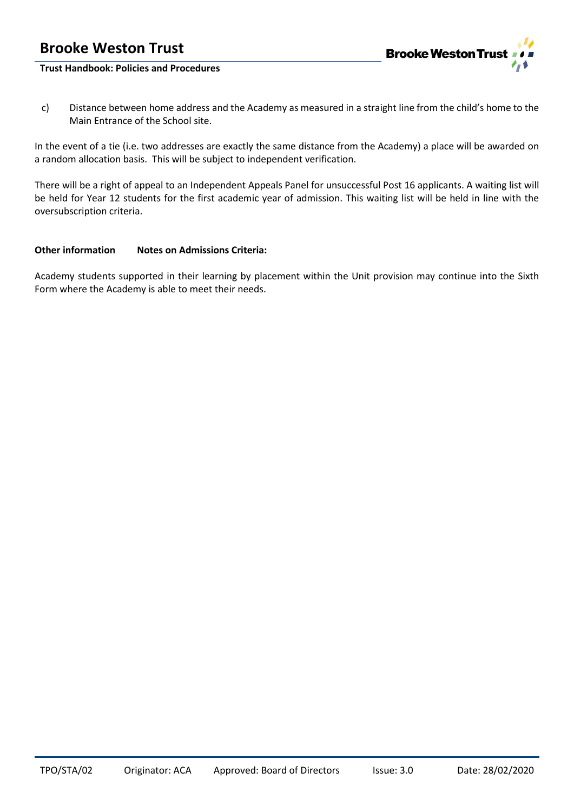

### **Trust Handbook: Policies and Procedures**

c) Distance between home address and the Academy as measured in a straight line from the child's home to the Main Entrance of the School site.

In the event of a tie (i.e. two addresses are exactly the same distance from the Academy) a place will be awarded on a random allocation basis. This will be subject to independent verification.

There will be a right of appeal to an Independent Appeals Panel for unsuccessful Post 16 applicants. A waiting list will be held for Year 12 students for the first academic year of admission. This waiting list will be held in line with the oversubscription criteria.

#### **Other information Notes on Admissions Criteria:**

Academy students supported in their learning by placement within the Unit provision may continue into the Sixth Form where the Academy is able to meet their needs.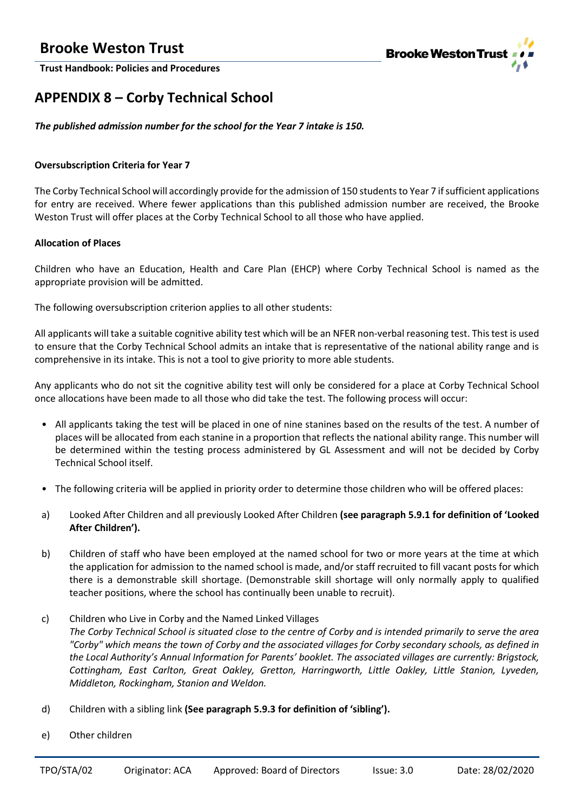

<span id="page-20-0"></span>**Trust Handbook: Policies and Procedures**

## **APPENDIX 8 – Corby Technical School**

*The published admission number for the school for the Year 7 intake is 150.*

### **Oversubscription Criteria for Year 7**

The Corby Technical School will accordingly provide for the admission of 150 students to Year 7 if sufficient applications for entry are received. Where fewer applications than this published admission number are received, the Brooke Weston Trust will offer places at the Corby Technical School to all those who have applied.

### **Allocation of Places**

Children who have an Education, Health and Care Plan (EHCP) where Corby Technical School is named as the appropriate provision will be admitted.

The following oversubscription criterion applies to all other students:

All applicants will take a suitable cognitive ability test which will be an NFER non-verbal reasoning test. This test is used to ensure that the Corby Technical School admits an intake that is representative of the national ability range and is comprehensive in its intake. This is not a tool to give priority to more able students.

Any applicants who do not sit the cognitive ability test will only be considered for a place at Corby Technical School once allocations have been made to all those who did take the test. The following process will occur:

- All applicants taking the test will be placed in one of nine stanines based on the results of the test. A number of places will be allocated from each stanine in a proportion that reflects the national ability range. This number will be determined within the testing process administered by GL Assessment and will not be decided by Corby Technical School itself.
- The following criteria will be applied in priority order to determine those children who will be offered places:
- a) Looked After Children and all previously Looked After Children **(see paragraph 5.9.1 for definition of 'Looked After Children').**
- b) Children of staff who have been employed at the named school for two or more years at the time at which the application for admission to the named school is made, and/or staff recruited to fill vacant posts for which there is a demonstrable skill shortage. (Demonstrable skill shortage will only normally apply to qualified teacher positions, where the school has continually been unable to recruit).

### c) Children who Live in Corby and the Named Linked Villages *The Corby Technical School is situated close to the centre of Corby and is intended primarily to serve the area "Corby" which means the town of Corby and the associated villages for Corby secondary schools, as defined in the Local Authority's Annual Information for Parents' booklet. The associated villages are currently: Brigstock, Cottingham, East Carlton, Great Oakley, Gretton, Harringworth, Little Oakley, Little Stanion, Lyveden, Middleton, Rockingham, Stanion and Weldon.*

- d) Children with a sibling link **(See paragraph 5.9.3 for definition of 'sibling').**
- e) Other children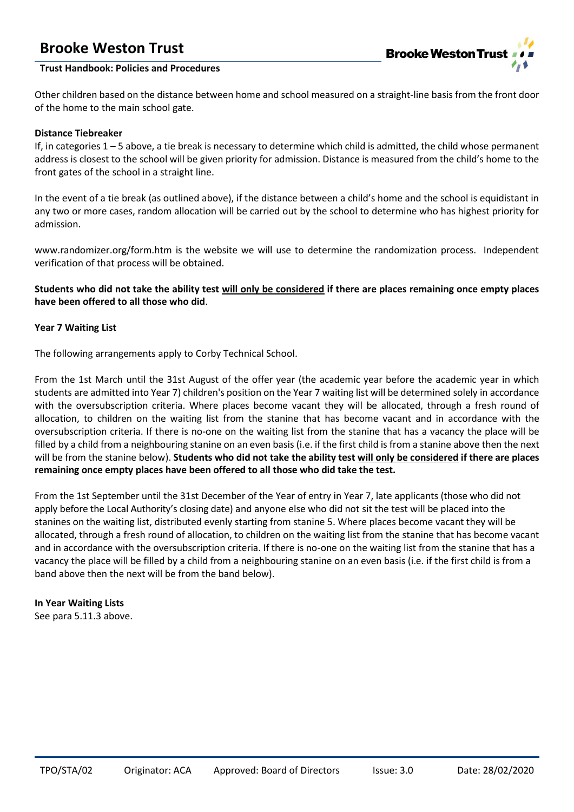

### **Trust Handbook: Policies and Procedures**

Other children based on the distance between home and school measured on a straight-line basis from the front door of the home to the main school gate.

#### **Distance Tiebreaker**

If, in categories 1 – 5 above, a tie break is necessary to determine which child is admitted, the child whose permanent address is closest to the school will be given priority for admission. Distance is measured from the child's home to the front gates of the school in a straight line.

In the event of a tie break (as outlined above), if the distance between a child's home and the school is equidistant in any two or more cases, random allocation will be carried out by the school to determine who has highest priority for admission.

www.randomizer.org/form.htm is the website we will use to determine the randomization process. Independent verification of that process will be obtained.

**Students who did not take the ability test will only be considered if there are places remaining once empty places have been offered to all those who did**.

#### **Year 7 Waiting List**

The following arrangements apply to Corby Technical School.

From the 1st March until the 31st August of the offer year (the academic year before the academic year in which students are admitted into Year 7) children's position on the Year 7 waiting list will be determined solely in accordance with the oversubscription criteria. Where places become vacant they will be allocated, through a fresh round of allocation, to children on the waiting list from the stanine that has become vacant and in accordance with the oversubscription criteria. If there is no-one on the waiting list from the stanine that has a vacancy the place will be filled by a child from a neighbouring stanine on an even basis (i.e. if the first child is from a stanine above then the next will be from the stanine below). **Students who did not take the ability test will only be considered if there are places remaining once empty places have been offered to all those who did take the test.**

From the 1st September until the 31st December of the Year of entry in Year 7, late applicants (those who did not apply before the Local Authority's closing date) and anyone else who did not sit the test will be placed into the stanines on the waiting list, distributed evenly starting from stanine 5. Where places become vacant they will be allocated, through a fresh round of allocation, to children on the waiting list from the stanine that has become vacant and in accordance with the oversubscription criteria. If there is no-one on the waiting list from the stanine that has a vacancy the place will be filled by a child from a neighbouring stanine on an even basis (i.e. if the first child is from a band above then the next will be from the band below).

### **In Year Waiting Lists**

See para 5.11.3 above.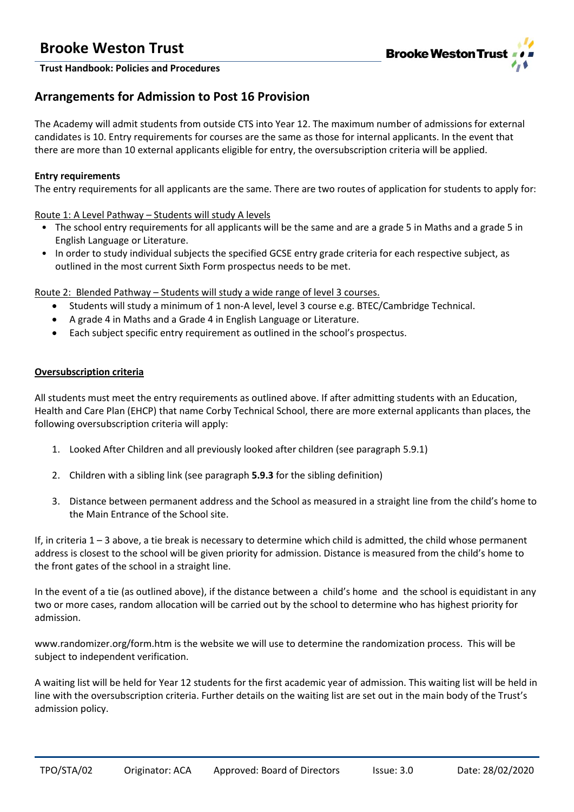

**Trust Handbook: Policies and Procedures**

### **Arrangements for Admission to Post 16 Provision**

The Academy will admit students from outside CTS into Year 12. The maximum number of admissions for external candidates is 10. Entry requirements for courses are the same as those for internal applicants. In the event that there are more than 10 external applicants eligible for entry, the oversubscription criteria will be applied.

### **Entry requirements**

The entry requirements for all applicants are the same. There are two routes of application for students to apply for:

Route 1: A Level Pathway – Students will study A levels

- The school entry requirements for all applicants will be the same and are a grade 5 in Maths and a grade 5 in English Language or Literature.
- In order to study individual subjects the specified GCSE entry grade criteria for each respective subject, as outlined in the most current Sixth Form prospectus needs to be met.

Route 2: Blended Pathway – Students will study a wide range of level 3 courses.

- Students will study a minimum of 1 non-A level, level 3 course e.g. BTEC/Cambridge Technical.
- A grade 4 in Maths and a Grade 4 in English Language or Literature.
- Each subject specific entry requirement as outlined in the school's prospectus.

### **Oversubscription criteria**

All students must meet the entry requirements as outlined above. If after admitting students with an Education, Health and Care Plan (EHCP) that name Corby Technical School, there are more external applicants than places, the following oversubscription criteria will apply:

- 1. Looked After Children and all previously looked after children (see paragraph 5.9.1)
- 2. Children with a sibling link (see paragraph **5.9.3** for the sibling definition)
- 3. Distance between permanent address and the School as measured in a straight line from the child's home to the Main Entrance of the School site.

If, in criteria 1 – 3 above, a tie break is necessary to determine which child is admitted, the child whose permanent address is closest to the school will be given priority for admission. Distance is measured from the child's home to the front gates of the school in a straight line.

In the event of a tie (as outlined above), if the distance between a child's home and the school is equidistant in any two or more cases, random allocation will be carried out by the school to determine who has highest priority for admission.

www.randomizer.org/form.htm is the website we will use to determine the randomization process. This will be subject to independent verification.

A waiting list will be held for Year 12 students for the first academic year of admission. This waiting list will be held in line with the oversubscription criteria. Further details on the waiting list are set out in the main body of the Trust's admission policy.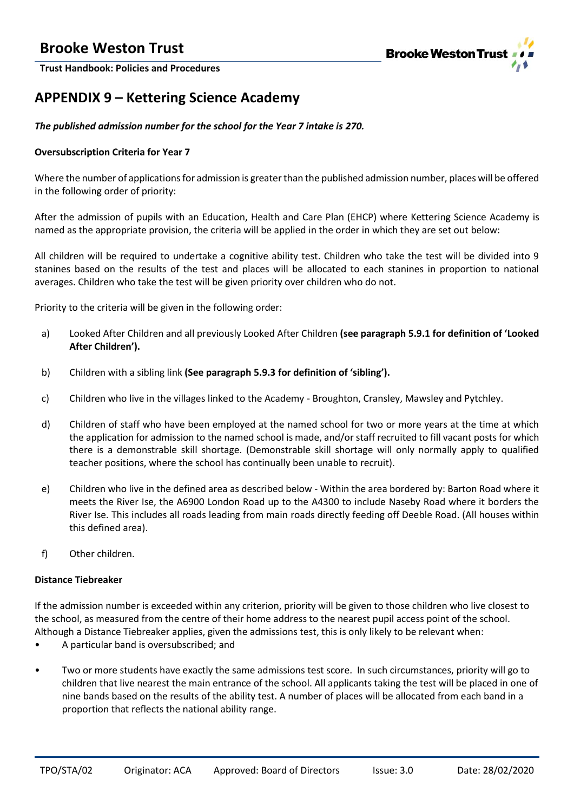

<span id="page-23-0"></span>**Trust Handbook: Policies and Procedures**

### **APPENDIX 9 – Kettering Science Academy**

### *The published admission number for the school for the Year 7 intake is 270.*

### **Oversubscription Criteria for Year 7**

Where the number of applications for admission is greater than the published admission number, places will be offered in the following order of priority:

After the admission of pupils with an Education, Health and Care Plan (EHCP) where Kettering Science Academy is named as the appropriate provision, the criteria will be applied in the order in which they are set out below:

All children will be required to undertake a cognitive ability test. Children who take the test will be divided into 9 stanines based on the results of the test and places will be allocated to each stanines in proportion to national averages. Children who take the test will be given priority over children who do not.

Priority to the criteria will be given in the following order:

- a) Looked After Children and all previously Looked After Children **(see paragraph 5.9.1 for definition of 'Looked After Children').**
- b) Children with a sibling link **(See paragraph 5.9.3 for definition of 'sibling').**
- c) Children who live in the villages linked to the Academy Broughton, Cransley, Mawsley and Pytchley.
- d) Children of staff who have been employed at the named school for two or more years at the time at which the application for admission to the named school is made, and/or staff recruited to fill vacant posts for which there is a demonstrable skill shortage. (Demonstrable skill shortage will only normally apply to qualified teacher positions, where the school has continually been unable to recruit).
- e) Children who live in the defined area as described below Within the area bordered by: Barton Road where it meets the River Ise, the A6900 London Road up to the A4300 to include Naseby Road where it borders the River Ise. This includes all roads leading from main roads directly feeding off Deeble Road. (All houses within this defined area).
- f) Other children.

### **Distance Tiebreaker**

If the admission number is exceeded within any criterion, priority will be given to those children who live closest to the school, as measured from the centre of their home address to the nearest pupil access point of the school. Although a Distance Tiebreaker applies, given the admissions test, this is only likely to be relevant when:

- A particular band is oversubscribed; and
- Two or more students have exactly the same admissions test score. In such circumstances, priority will go to children that live nearest the main entrance of the school. All applicants taking the test will be placed in one of nine bands based on the results of the ability test. A number of places will be allocated from each band in a proportion that reflects the national ability range.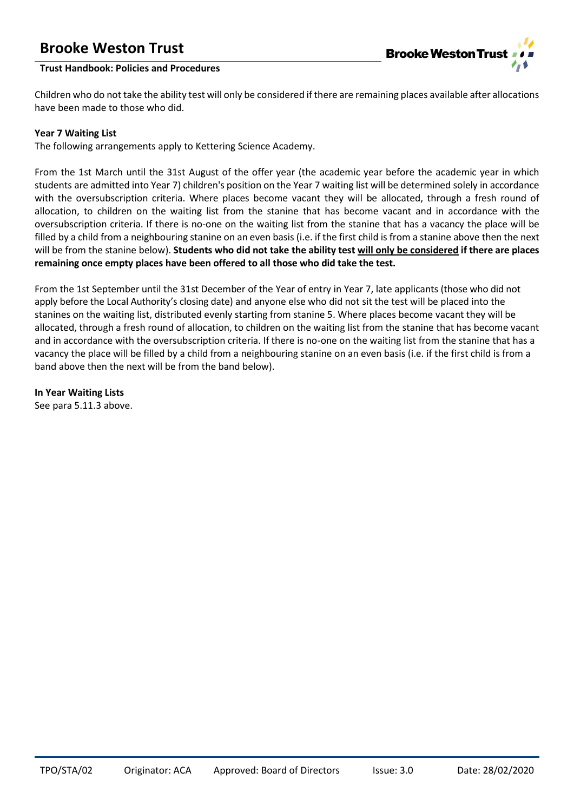

### **Trust Handbook: Policies and Procedures**

Children who do not take the ability test will only be considered if there are remaining places available after allocations have been made to those who did.

#### **Year 7 Waiting List**

The following arrangements apply to Kettering Science Academy.

From the 1st March until the 31st August of the offer year (the academic year before the academic year in which students are admitted into Year 7) children's position on the Year 7 waiting list will be determined solely in accordance with the oversubscription criteria. Where places become vacant they will be allocated, through a fresh round of allocation, to children on the waiting list from the stanine that has become vacant and in accordance with the oversubscription criteria. If there is no-one on the waiting list from the stanine that has a vacancy the place will be filled by a child from a neighbouring stanine on an even basis (i.e. if the first child is from a stanine above then the next will be from the stanine below). **Students who did not take the ability test will only be considered if there are places remaining once empty places have been offered to all those who did take the test.**

From the 1st September until the 31st December of the Year of entry in Year 7, late applicants (those who did not apply before the Local Authority's closing date) and anyone else who did not sit the test will be placed into the stanines on the waiting list, distributed evenly starting from stanine 5. Where places become vacant they will be allocated, through a fresh round of allocation, to children on the waiting list from the stanine that has become vacant and in accordance with the oversubscription criteria. If there is no-one on the waiting list from the stanine that has a vacancy the place will be filled by a child from a neighbouring stanine on an even basis (i.e. if the first child is from a band above then the next will be from the band below).

**In Year Waiting Lists** See para 5.11.3 above.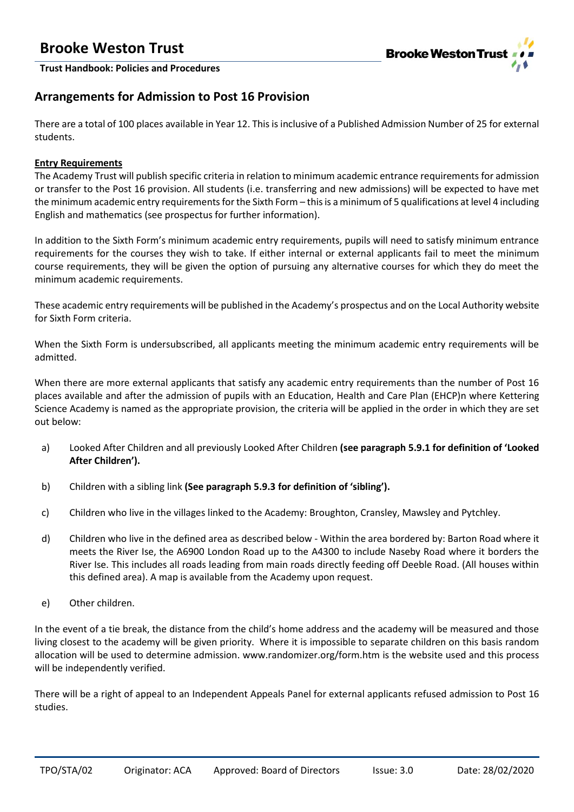

**Trust Handbook: Policies and Procedures**

### **Arrangements for Admission to Post 16 Provision**

There are a total of 100 places available in Year 12. This is inclusive of a Published Admission Number of 25 for external students.

### **Entry Requirements**

The Academy Trust will publish specific criteria in relation to minimum academic entrance requirements for admission or transfer to the Post 16 provision. All students (i.e. transferring and new admissions) will be expected to have met the minimum academic entry requirements for the Sixth Form – this is a minimum of 5 qualifications at level 4 including English and mathematics (see prospectus for further information).

In addition to the Sixth Form's minimum academic entry requirements, pupils will need to satisfy minimum entrance requirements for the courses they wish to take. If either internal or external applicants fail to meet the minimum course requirements, they will be given the option of pursuing any alternative courses for which they do meet the minimum academic requirements.

These academic entry requirements will be published in the Academy's prospectus and on the Local Authority website for Sixth Form criteria.

When the Sixth Form is undersubscribed, all applicants meeting the minimum academic entry requirements will be admitted.

When there are more external applicants that satisfy any academic entry requirements than the number of Post 16 places available and after the admission of pupils with an Education, Health and Care Plan (EHCP)n where Kettering Science Academy is named as the appropriate provision, the criteria will be applied in the order in which they are set out below:

- a) Looked After Children and all previously Looked After Children **(see paragraph 5.9.1 for definition of 'Looked After Children').**
- b) Children with a sibling link **(See paragraph 5.9.3 for definition of 'sibling').**
- c) Children who live in the villages linked to the Academy: Broughton, Cransley, Mawsley and Pytchley.
- d) Children who live in the defined area as described below Within the area bordered by: Barton Road where it meets the River Ise, the A6900 London Road up to the A4300 to include Naseby Road where it borders the River Ise. This includes all roads leading from main roads directly feeding off Deeble Road. (All houses within this defined area). A map is available from the Academy upon request.
- e) Other children.

In the event of a tie break, the distance from the child's home address and the academy will be measured and those living closest to the academy will be given priority. Where it is impossible to separate children on this basis random allocation will be used to determine admission. www.randomizer.org/form.htm is the website used and this process will be independently verified.

There will be a right of appeal to an Independent Appeals Panel for external applicants refused admission to Post 16 studies.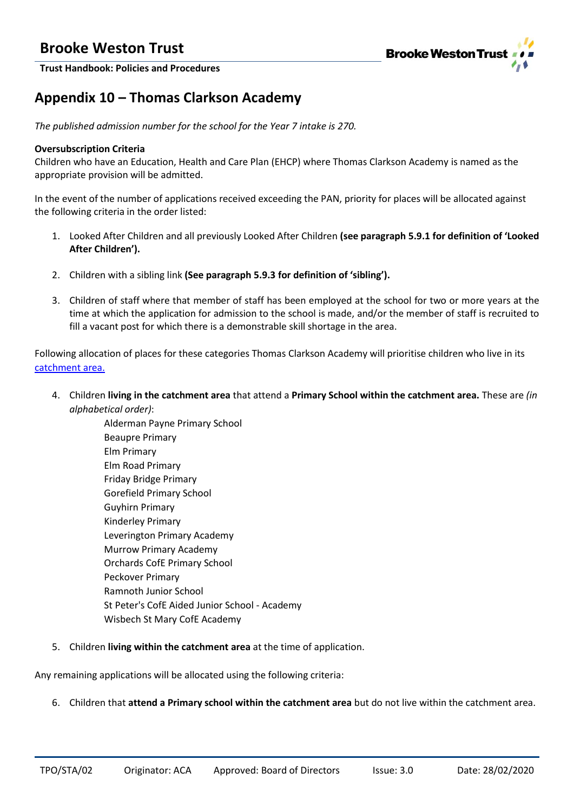

<span id="page-26-0"></span>**Trust Handbook: Policies and Procedures**

### **Appendix 10 – Thomas Clarkson Academy**

*The published admission number for the school for the Year 7 intake is 270.*

### **Oversubscription Criteria**

Children who have an Education, Health and Care Plan (EHCP) where Thomas Clarkson Academy is named as the appropriate provision will be admitted.

In the event of the number of applications received exceeding the PAN, priority for places will be allocated against the following criteria in the order listed:

- 1. Looked After Children and all previously Looked After Children **(see paragraph 5.9.1 for definition of 'Looked After Children').**
- 2. Children with a sibling link **(See paragraph 5.9.3 for definition of 'sibling').**
- 3. Children of staff where that member of staff has been employed at the school for two or more years at the time at which the application for admission to the school is made, and/or the member of staff is recruited to fill a vacant post for which there is a demonstrable skill shortage in the area.

Following allocation of places for these categories Thomas Clarkson Academy will prioritise children who live in its [catchment area.](https://my.cambridgeshire.gov.uk/?tab=maps&layers=SecondaryCatchments,PrimaryCatchments/br)

- 4. Children **living in the catchment area** that attend a **Primary School within the catchment area.** These are *(in alphabetical order)*:
	- Alderman Payne Primary School Beaupre Primary Elm Primary Elm Road Primary Friday Bridge Primary Gorefield Primary School Guyhirn Primary Kinderley Primary Leverington Primary Academy Murrow Primary Academy Orchards CofE Primary School Peckover Primary Ramnoth Junior School St Peter's CofE Aided Junior School - Academy Wisbech St Mary CofE Academy
- 5. Children **living within the catchment area** at the time of application.

Any remaining applications will be allocated using the following criteria:

6. Children that **attend a Primary school within the catchment area** but do not live within the catchment area.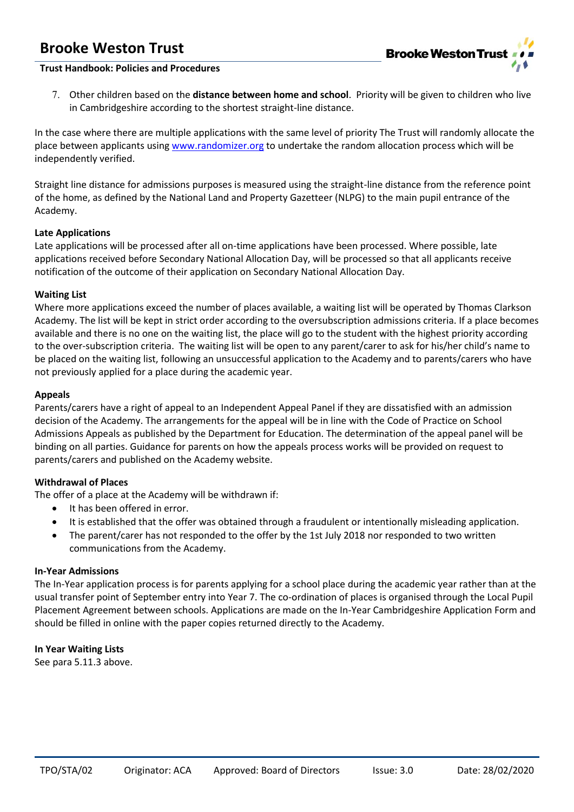

### **Trust Handbook: Policies and Procedures**

7. Other children based on the **distance between home and school**. Priority will be given to children who live in Cambridgeshire according to the shortest straight-line distance.

In the case where there are multiple applications with the same level of priority The Trust will randomly allocate the place between applicants using [www.randomizer.org](https://www.randomizer.org/) to undertake the random allocation process which will be independently verified.

Straight line distance for admissions purposes is measured using the straight-line distance from the reference point of the home, as defined by the National Land and Property Gazetteer (NLPG) to the main pupil entrance of the Academy.

### **Late Applications**

Late applications will be processed after all on-time applications have been processed. Where possible, late applications received before Secondary National Allocation Day, will be processed so that all applicants receive notification of the outcome of their application on Secondary National Allocation Day.

### **Waiting List**

Where more applications exceed the number of places available, a waiting list will be operated by Thomas Clarkson Academy. The list will be kept in strict order according to the oversubscription admissions criteria. If a place becomes available and there is no one on the waiting list, the place will go to the student with the highest priority according to the over-subscription criteria. The waiting list will be open to any parent/carer to ask for his/her child's name to be placed on the waiting list, following an unsuccessful application to the Academy and to parents/carers who have not previously applied for a place during the academic year.

#### **Appeals**

Parents/carers have a right of appeal to an Independent Appeal Panel if they are dissatisfied with an admission decision of the Academy. The arrangements for the appeal will be in line with the Code of Practice on School Admissions Appeals as published by the Department for Education. The determination of the appeal panel will be binding on all parties. Guidance for parents on how the appeals process works will be provided on request to parents/carers and published on the Academy website.

### **Withdrawal of Places**

The offer of a place at the Academy will be withdrawn if:

- It has been offered in error.
- It is established that the offer was obtained through a fraudulent or intentionally misleading application.
- The parent/carer has not responded to the offer by the 1st July 2018 nor responded to two written communications from the Academy.

#### **In-Year Admissions**

The In-Year application process is for parents applying for a school place during the academic year rather than at the usual transfer point of September entry into Year 7. The co-ordination of places is organised through the Local Pupil Placement Agreement between schools. Applications are made on the In-Year Cambridgeshire Application Form and should be filled in online with the paper copies returned directly to the Academy.

### **In Year Waiting Lists**

See para 5.11.3 above.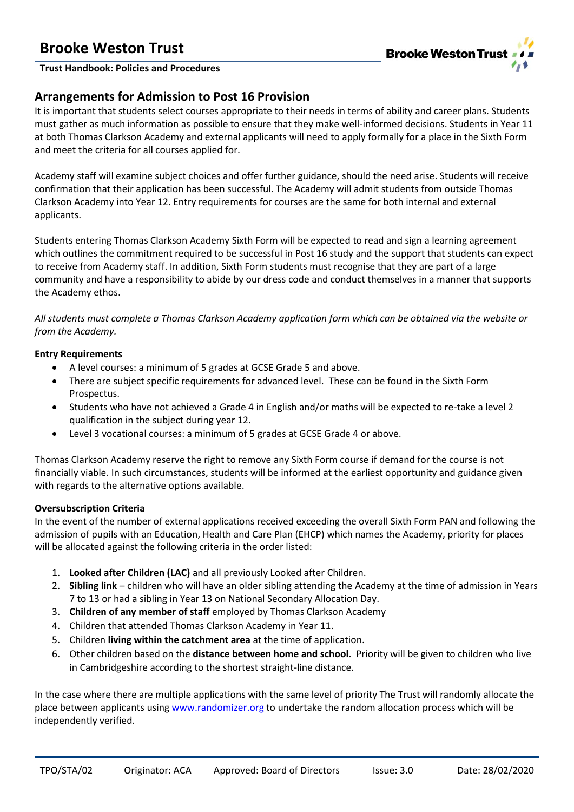

**Trust Handbook: Policies and Procedures**

### **Arrangements for Admission to Post 16 Provision**

It is important that students select courses appropriate to their needs in terms of ability and career plans. Students must gather as much information as possible to ensure that they make well-informed decisions. Students in Year 11 at both Thomas Clarkson Academy and external applicants will need to apply formally for a place in the Sixth Form and meet the criteria for all courses applied for.

Academy staff will examine subject choices and offer further guidance, should the need arise. Students will receive confirmation that their application has been successful. The Academy will admit students from outside Thomas Clarkson Academy into Year 12. Entry requirements for courses are the same for both internal and external applicants.

Students entering Thomas Clarkson Academy Sixth Form will be expected to read and sign a learning agreement which outlines the commitment required to be successful in Post 16 study and the support that students can expect to receive from Academy staff. In addition, Sixth Form students must recognise that they are part of a large community and have a responsibility to abide by our dress code and conduct themselves in a manner that supports the Academy ethos.

*All students must complete a Thomas Clarkson Academy application form which can be obtained via the website or from the Academy.*

### **Entry Requirements**

- A level courses: a minimum of 5 grades at GCSE Grade 5 and above.
- There are subject specific requirements for advanced level. These can be found in the Sixth Form Prospectus.
- Students who have not achieved a Grade 4 in English and/or maths will be expected to re-take a level 2 qualification in the subject during year 12.
- Level 3 vocational courses: a minimum of 5 grades at GCSE Grade 4 or above.

Thomas Clarkson Academy reserve the right to remove any Sixth Form course if demand for the course is not financially viable. In such circumstances, students will be informed at the earliest opportunity and guidance given with regards to the alternative options available.

### **Oversubscription Criteria**

In the event of the number of external applications received exceeding the overall Sixth Form PAN and following the admission of pupils with an Education, Health and Care Plan (EHCP) which names the Academy, priority for places will be allocated against the following criteria in the order listed:

- 1. **Looked after Children (LAC)** and all previously Looked after Children.
- 2. **Sibling link** children who will have an older sibling attending the Academy at the time of admission in Years 7 to 13 or had a sibling in Year 13 on National Secondary Allocation Day.
- 3. **Children of any member of staff** employed by Thomas Clarkson Academy
- 4. Children that attended Thomas Clarkson Academy in Year 11.
- 5. Children **living within the catchment area** at the time of application.
- 6. Other children based on the **distance between home and school**. Priority will be given to children who live in Cambridgeshire according to the shortest straight-line distance.

In the case where there are multiple applications with the same level of priority The Trust will randomly allocate the place between applicants using www.randomizer.org to undertake the random allocation process which will be independently verified.